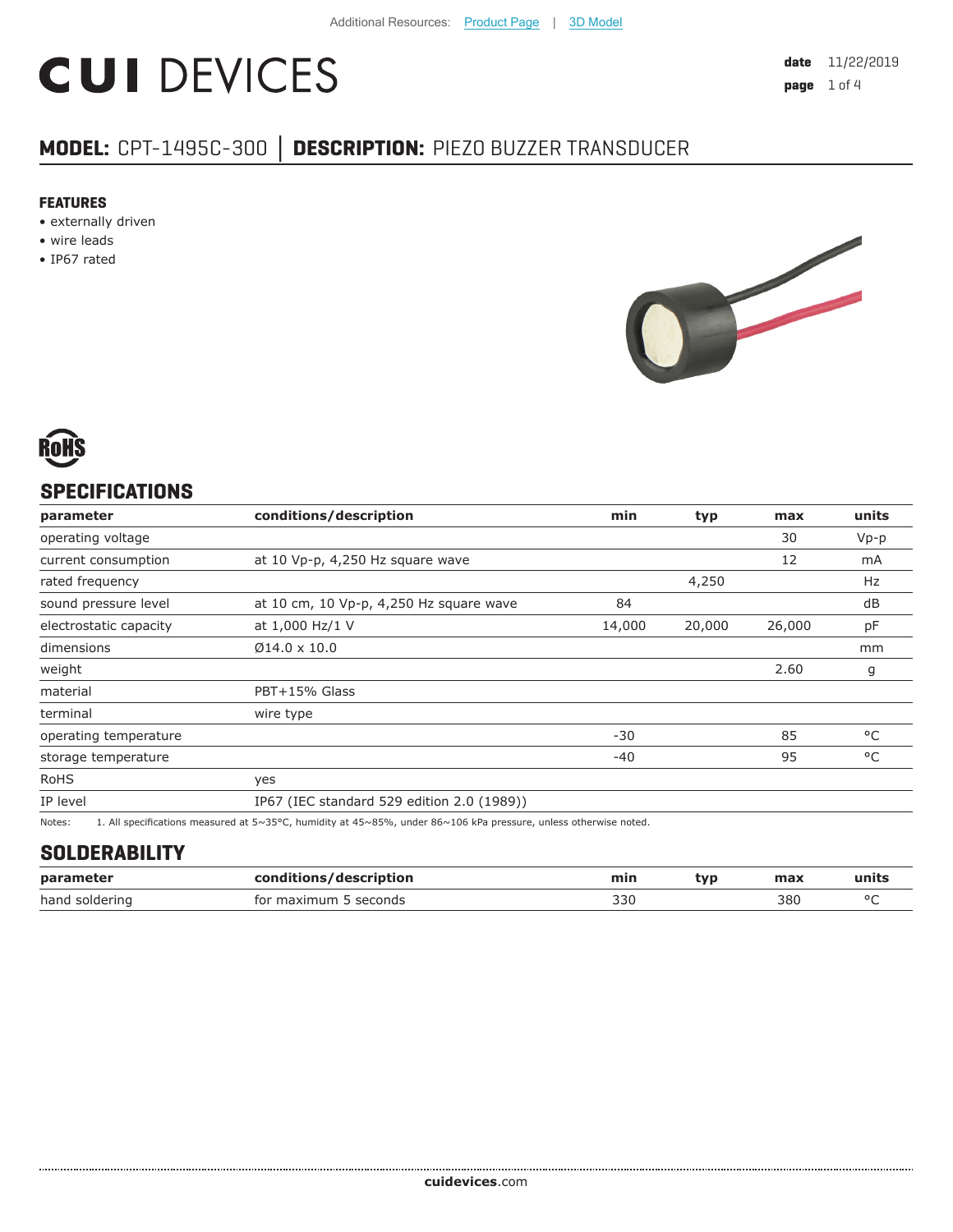# **CUI DEVICES**

## **MODEL:** CPT-1495C-300 **│ DESCRIPTION:** PIEZO BUZZER TRANSDUCER

#### **FEATURES**

- externally driven
- wire leads
- IP67 rated





### **SPECIFICATIONS**

| parameter              | conditions/description                                                                                           | min    | typ    | max    | units  |
|------------------------|------------------------------------------------------------------------------------------------------------------|--------|--------|--------|--------|
| operating voltage      |                                                                                                                  |        |        | 30     | $Vp-p$ |
| current consumption    | at 10 Vp-p, 4,250 Hz square wave                                                                                 |        |        | 12     | mA     |
| rated frequency        |                                                                                                                  |        | 4,250  |        | Hz     |
| sound pressure level   | at 10 cm, 10 Vp-p, 4,250 Hz square wave                                                                          | 84     |        |        | dB     |
| electrostatic capacity | at 1,000 Hz/1 V                                                                                                  | 14,000 | 20,000 | 26,000 | pF     |
| dimensions             | $\emptyset$ 14.0 x 10.0                                                                                          |        |        |        | mm     |
| weight                 |                                                                                                                  |        |        | 2.60   | g      |
| material               | PBT+15% Glass                                                                                                    |        |        |        |        |
| terminal               | wire type                                                                                                        |        |        |        |        |
| operating temperature  |                                                                                                                  | $-30$  |        | 85     | °C     |
| storage temperature    |                                                                                                                  | $-40$  |        | 95     | °C     |
| <b>RoHS</b>            | yes                                                                                                              |        |        |        |        |
| IP level               | IP67 (IEC standard 529 edition 2.0 (1989))                                                                       |        |        |        |        |
| Notes:                 | 1. All specifications measured at 5~35°C, humidity at 45~85%, under 86~106 kPa pressure, unless otherwise noted. |        |        |        |        |

#### **SOLDERABILITY**

| parameter      | conditions/description    | min | tvo | max | units |
|----------------|---------------------------|-----|-----|-----|-------|
| hand soldering | seconds<br>tor<br>maxımum | 33C |     | 380 | n r   |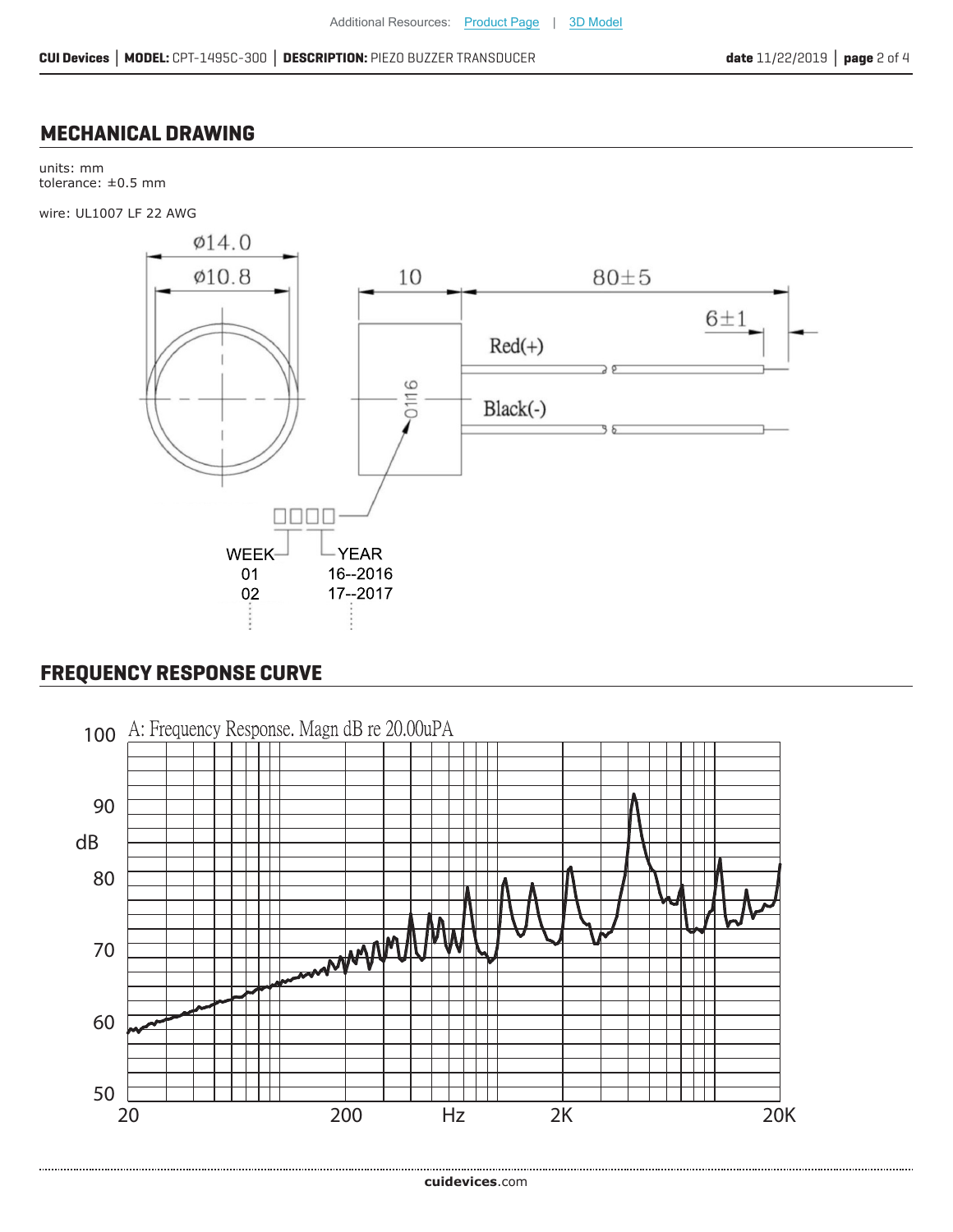#### **MECHANICAL DRAWING**

units: mm tolerance: ±0.5 mm

wire: UL1007 LF 22 AWG



### **FREQUENCY RESPONSE CURVE**

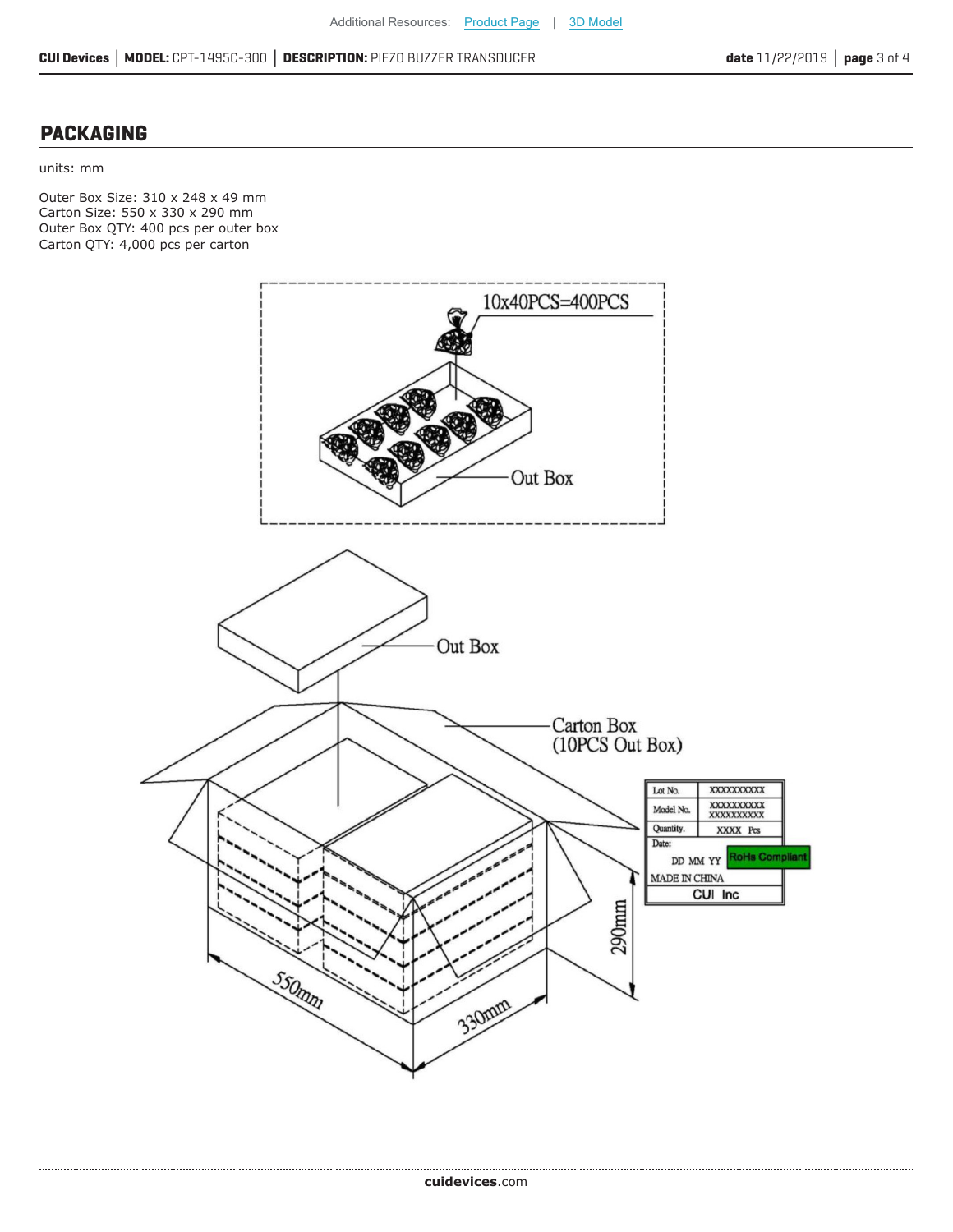#### **PACKAGING**

units: mm

.....................

Outer Box Size: 310 x 248 x 49 mm Carton Size: 550 x 330 x 290 mm Outer Box QTY: 400 pcs per outer box Carton QTY: 4,000 pcs per carton